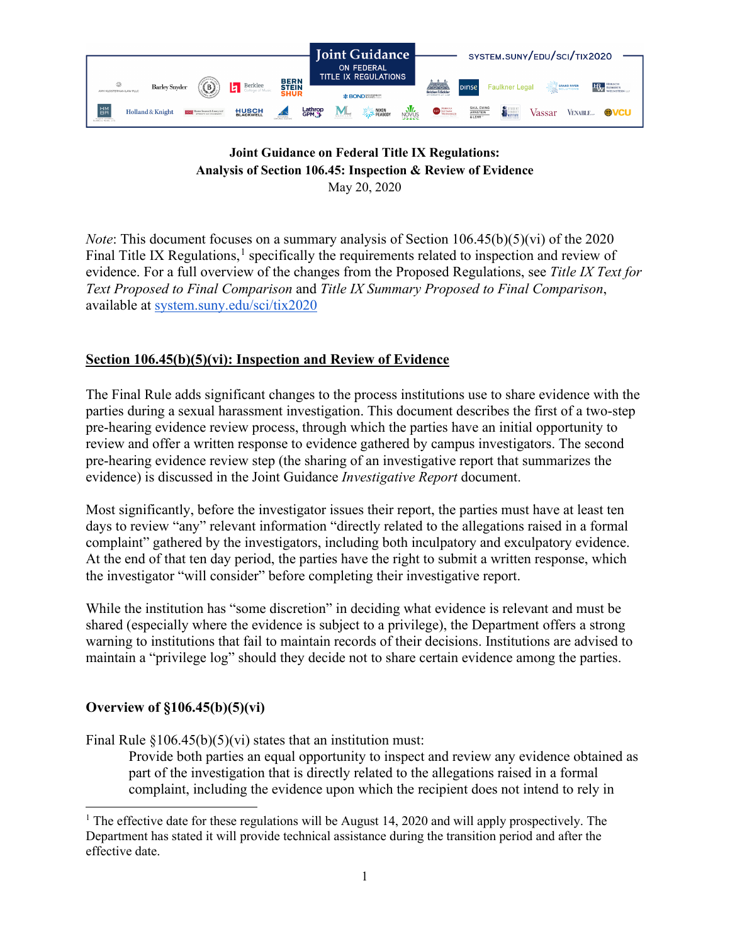

### **Joint Guidance on Federal Title IX Regulations: Analysis of Section 106.45: Inspection & Review of Evidence** May 20, 2020

*Note*: This document focuses on a summary analysis of Section 106.45(b)(5)(vi) of the 2020 Final Title IX Regulations, $<sup>1</sup>$  $<sup>1</sup>$  $<sup>1</sup>$  specifically the requirements related to inspection and review of</sup> evidence. For a full overview of the changes from the Proposed Regulations, see *Title IX Text for Text Proposed to Final Comparison* and *Title IX Summary Proposed to Final Comparison*, available at [system.suny.edu/sci/tix2020](https://system.suny.edu/sci/tix2020/)

# **Section 106.45(b)(5)(vi): Inspection and Review of Evidence**

The Final Rule adds significant changes to the process institutions use to share evidence with the parties during a sexual harassment investigation. This document describes the first of a two-step pre-hearing evidence review process, through which the parties have an initial opportunity to review and offer a written response to evidence gathered by campus investigators. The second pre-hearing evidence review step (the sharing of an investigative report that summarizes the evidence) is discussed in the Joint Guidance *Investigative Report* document.

Most significantly, before the investigator issues their report, the parties must have at least ten days to review "any" relevant information "directly related to the allegations raised in a formal complaint" gathered by the investigators, including both inculpatory and exculpatory evidence. At the end of that ten day period, the parties have the right to submit a written response, which the investigator "will consider" before completing their investigative report.

While the institution has "some discretion" in deciding what evidence is relevant and must be shared (especially where the evidence is subject to a privilege), the Department offers a strong warning to institutions that fail to maintain records of their decisions. Institutions are advised to maintain a "privilege log" should they decide not to share certain evidence among the parties.

## **Overview of §106.45(b)(5)(vi)**

Final Rule  $\S 106.45(b)(5)(vi)$  states that an institution must:

Provide both parties an equal opportunity to inspect and review any evidence obtained as part of the investigation that is directly related to the allegations raised in a formal complaint, including the evidence upon which the recipient does not intend to rely in

<span id="page-0-0"></span><sup>&</sup>lt;sup>1</sup> The effective date for these regulations will be August 14, 2020 and will apply prospectively. The Department has stated it will provide technical assistance during the transition period and after the effective date.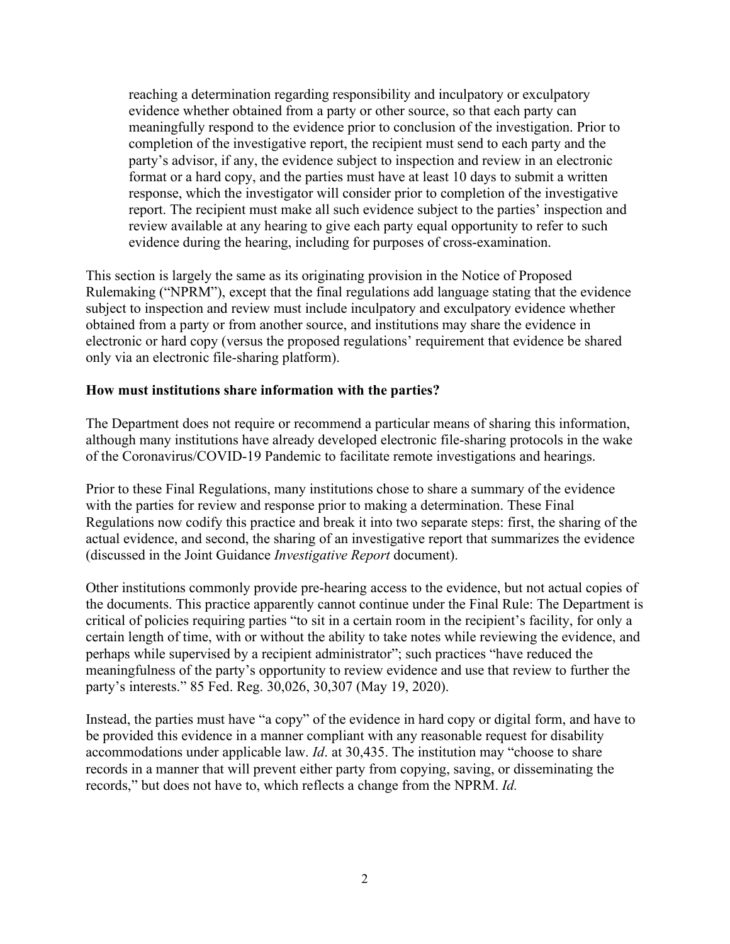reaching a determination regarding responsibility and inculpatory or exculpatory evidence whether obtained from a party or other source, so that each party can meaningfully respond to the evidence prior to conclusion of the investigation. Prior to completion of the investigative report, the recipient must send to each party and the party's advisor, if any, the evidence subject to inspection and review in an electronic format or a hard copy, and the parties must have at least 10 days to submit a written response, which the investigator will consider prior to completion of the investigative report. The recipient must make all such evidence subject to the parties' inspection and review available at any hearing to give each party equal opportunity to refer to such evidence during the hearing, including for purposes of cross-examination.

This section is largely the same as its originating provision in the Notice of Proposed Rulemaking ("NPRM"), except that the final regulations add language stating that the evidence subject to inspection and review must include inculpatory and exculpatory evidence whether obtained from a party or from another source, and institutions may share the evidence in electronic or hard copy (versus the proposed regulations' requirement that evidence be shared only via an electronic file-sharing platform).

### **How must institutions share information with the parties?**

The Department does not require or recommend a particular means of sharing this information, although many institutions have already developed electronic file-sharing protocols in the wake of the Coronavirus/COVID-19 Pandemic to facilitate remote investigations and hearings.

Prior to these Final Regulations, many institutions chose to share a summary of the evidence with the parties for review and response prior to making a determination. These Final Regulations now codify this practice and break it into two separate steps: first, the sharing of the actual evidence, and second, the sharing of an investigative report that summarizes the evidence (discussed in the Joint Guidance *Investigative Report* document).

Other institutions commonly provide pre-hearing access to the evidence, but not actual copies of the documents. This practice apparently cannot continue under the Final Rule: The Department is critical of policies requiring parties "to sit in a certain room in the recipient's facility, for only a certain length of time, with or without the ability to take notes while reviewing the evidence, and perhaps while supervised by a recipient administrator"; such practices "have reduced the meaningfulness of the party's opportunity to review evidence and use that review to further the party's interests." 85 Fed. Reg. 30,026, 30,307 (May 19, 2020).

Instead, the parties must have "a copy" of the evidence in hard copy or digital form, and have to be provided this evidence in a manner compliant with any reasonable request for disability accommodations under applicable law. *Id*. at 30,435. The institution may "choose to share records in a manner that will prevent either party from copying, saving, or disseminating the records," but does not have to, which reflects a change from the NPRM. *Id.*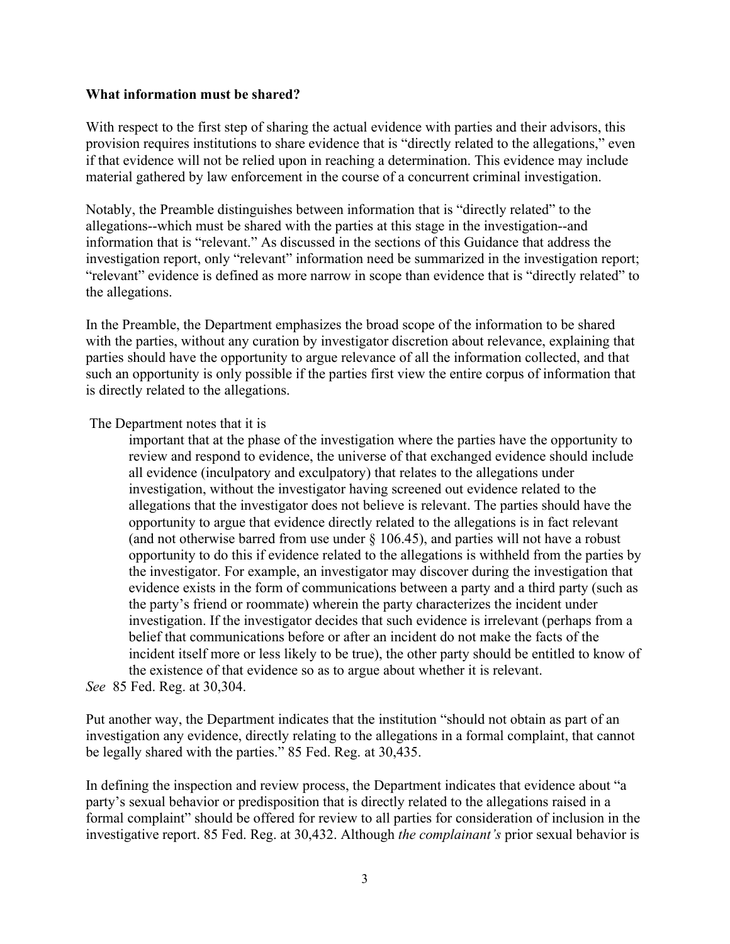#### **What information must be shared?**

With respect to the first step of sharing the actual evidence with parties and their advisors, this provision requires institutions to share evidence that is "directly related to the allegations," even if that evidence will not be relied upon in reaching a determination. This evidence may include material gathered by law enforcement in the course of a concurrent criminal investigation.

Notably, the Preamble distinguishes between information that is "directly related" to the allegations--which must be shared with the parties at this stage in the investigation--and information that is "relevant." As discussed in the sections of this Guidance that address the investigation report, only "relevant" information need be summarized in the investigation report; "relevant" evidence is defined as more narrow in scope than evidence that is "directly related" to the allegations.

In the Preamble, the Department emphasizes the broad scope of the information to be shared with the parties, without any curation by investigator discretion about relevance, explaining that parties should have the opportunity to argue relevance of all the information collected, and that such an opportunity is only possible if the parties first view the entire corpus of information that is directly related to the allegations.

The Department notes that it is

important that at the phase of the investigation where the parties have the opportunity to review and respond to evidence, the universe of that exchanged evidence should include all evidence (inculpatory and exculpatory) that relates to the allegations under investigation, without the investigator having screened out evidence related to the allegations that the investigator does not believe is relevant. The parties should have the opportunity to argue that evidence directly related to the allegations is in fact relevant (and not otherwise barred from use under  $\S$  106.45), and parties will not have a robust opportunity to do this if evidence related to the allegations is withheld from the parties by the investigator. For example, an investigator may discover during the investigation that evidence exists in the form of communications between a party and a third party (such as the party's friend or roommate) wherein the party characterizes the incident under investigation. If the investigator decides that such evidence is irrelevant (perhaps from a belief that communications before or after an incident do not make the facts of the incident itself more or less likely to be true), the other party should be entitled to know of the existence of that evidence so as to argue about whether it is relevant.

*See* 85 Fed. Reg. at 30,304.

Put another way, the Department indicates that the institution "should not obtain as part of an investigation any evidence, directly relating to the allegations in a formal complaint, that cannot be legally shared with the parties." 85 Fed. Reg. at 30,435.

In defining the inspection and review process, the Department indicates that evidence about "a party's sexual behavior or predisposition that is directly related to the allegations raised in a formal complaint" should be offered for review to all parties for consideration of inclusion in the investigative report. 85 Fed. Reg. at 30,432. Although *the complainant's* prior sexual behavior is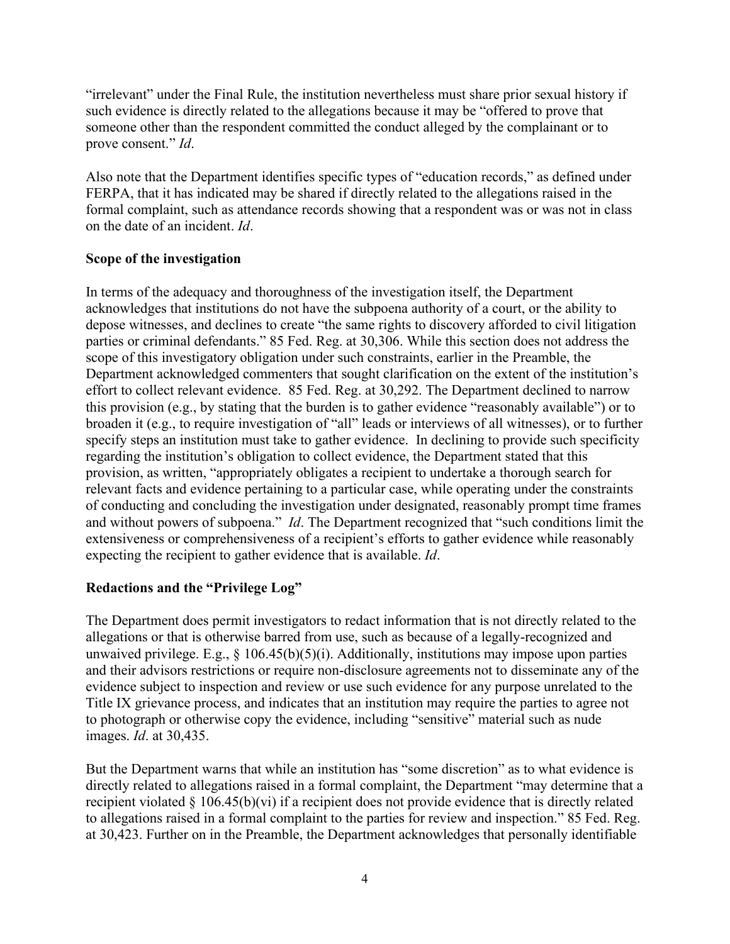"irrelevant" under the Final Rule, the institution nevertheless must share prior sexual history if such evidence is directly related to the allegations because it may be "offered to prove that someone other than the respondent committed the conduct alleged by the complainant or to prove consent." *Id*.

Also note that the Department identifies specific types of "education records," as defined under FERPA, that it has indicated may be shared if directly related to the allegations raised in the formal complaint, such as attendance records showing that a respondent was or was not in class on the date of an incident. *Id*.

## **Scope of the investigation**

In terms of the adequacy and thoroughness of the investigation itself, the Department acknowledges that institutions do not have the subpoena authority of a court, or the ability to depose witnesses, and declines to create "the same rights to discovery afforded to civil litigation parties or criminal defendants." 85 Fed. Reg. at 30,306. While this section does not address the scope of this investigatory obligation under such constraints, earlier in the Preamble, the Department acknowledged commenters that sought clarification on the extent of the institution's effort to collect relevant evidence. 85 Fed. Reg. at 30,292. The Department declined to narrow this provision (e.g., by stating that the burden is to gather evidence "reasonably available") or to broaden it (e.g., to require investigation of "all" leads or interviews of all witnesses), or to further specify steps an institution must take to gather evidence. In declining to provide such specificity regarding the institution's obligation to collect evidence, the Department stated that this provision, as written, "appropriately obligates a recipient to undertake a thorough search for relevant facts and evidence pertaining to a particular case, while operating under the constraints of conducting and concluding the investigation under designated, reasonably prompt time frames and without powers of subpoena." *Id*. The Department recognized that "such conditions limit the extensiveness or comprehensiveness of a recipient's efforts to gather evidence while reasonably expecting the recipient to gather evidence that is available. *Id*.

## **Redactions and the "Privilege Log"**

The Department does permit investigators to redact information that is not directly related to the allegations or that is otherwise barred from use, such as because of a legally-recognized and unwaived privilege. E.g.,  $\S$  106.45(b)(5)(i). Additionally, institutions may impose upon parties and their advisors restrictions or require non-disclosure agreements not to disseminate any of the evidence subject to inspection and review or use such evidence for any purpose unrelated to the Title IX grievance process, and indicates that an institution may require the parties to agree not to photograph or otherwise copy the evidence, including "sensitive" material such as nude images. *Id*. at 30,435.

But the Department warns that while an institution has "some discretion" as to what evidence is directly related to allegations raised in a formal complaint, the Department "may determine that a recipient violated § 106.45(b)(vi) if a recipient does not provide evidence that is directly related to allegations raised in a formal complaint to the parties for review and inspection." 85 Fed. Reg. at 30,423. Further on in the Preamble, the Department acknowledges that personally identifiable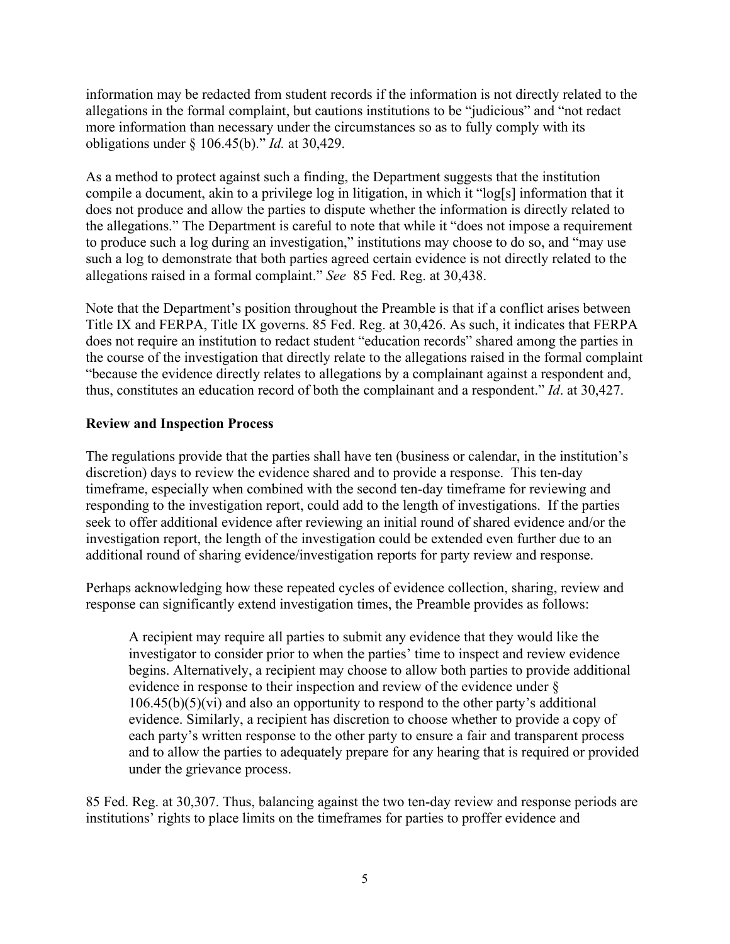information may be redacted from student records if the information is not directly related to the allegations in the formal complaint, but cautions institutions to be "judicious" and "not redact more information than necessary under the circumstances so as to fully comply with its obligations under § 106.45(b)." *Id.* at 30,429.

As a method to protect against such a finding, the Department suggests that the institution compile a document, akin to a privilege log in litigation, in which it "log[s] information that it does not produce and allow the parties to dispute whether the information is directly related to the allegations." The Department is careful to note that while it "does not impose a requirement to produce such a log during an investigation," institutions may choose to do so, and "may use such a log to demonstrate that both parties agreed certain evidence is not directly related to the allegations raised in a formal complaint." *See* 85 Fed. Reg. at 30,438.

Note that the Department's position throughout the Preamble is that if a conflict arises between Title IX and FERPA, Title IX governs. 85 Fed. Reg. at 30,426. As such, it indicates that FERPA does not require an institution to redact student "education records" shared among the parties in the course of the investigation that directly relate to the allegations raised in the formal complaint "because the evidence directly relates to allegations by a complainant against a respondent and, thus, constitutes an education record of both the complainant and a respondent." *Id*. at 30,427.

## **Review and Inspection Process**

The regulations provide that the parties shall have ten (business or calendar, in the institution's discretion) days to review the evidence shared and to provide a response. This ten-day timeframe, especially when combined with the second ten-day timeframe for reviewing and responding to the investigation report, could add to the length of investigations. If the parties seek to offer additional evidence after reviewing an initial round of shared evidence and/or the investigation report, the length of the investigation could be extended even further due to an additional round of sharing evidence/investigation reports for party review and response.

Perhaps acknowledging how these repeated cycles of evidence collection, sharing, review and response can significantly extend investigation times, the Preamble provides as follows:

A recipient may require all parties to submit any evidence that they would like the investigator to consider prior to when the parties' time to inspect and review evidence begins. Alternatively, a recipient may choose to allow both parties to provide additional evidence in response to their inspection and review of the evidence under §  $106.45(b)(5)(vi)$  and also an opportunity to respond to the other party's additional evidence. Similarly, a recipient has discretion to choose whether to provide a copy of each party's written response to the other party to ensure a fair and transparent process and to allow the parties to adequately prepare for any hearing that is required or provided under the grievance process.

85 Fed. Reg. at 30,307. Thus, balancing against the two ten-day review and response periods are institutions' rights to place limits on the timeframes for parties to proffer evidence and